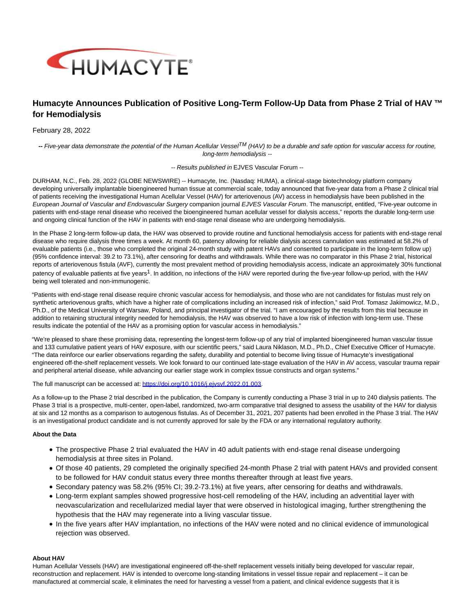

# **Humacyte Announces Publication of Positive Long-Term Follow-Up Data from Phase 2 Trial of HAV ™ for Hemodialysis**

## February 28, 2022

**--** Five-year data demonstrate the potential of the Human Acellular VesselTM (HAV) to be a durable and safe option for vascular access for routine, long-term hemodialysis --

#### -- Results published in EJVES Vascular Forum --

DURHAM, N.C., Feb. 28, 2022 (GLOBE NEWSWIRE) -- Humacyte, Inc. (Nasdaq: HUMA), a clinical-stage biotechnology platform company developing universally implantable bioengineered human tissue at commercial scale, today announced that five-year data from a Phase 2 clinical trial of patients receiving the investigational Human Acellular Vessel (HAV) for arteriovenous (AV) access in hemodialysis have been published in the European Journal of Vascular and Endovascular Surgery companion journal EJVES Vascular Forum. The manuscript, entitled, "Five-year outcome in patients with end-stage renal disease who received the bioengineered human acellular vessel for dialysis access," reports the durable long-term use and ongoing clinical function of the HAV in patients with end-stage renal disease who are undergoing hemodialysis.

In the Phase 2 long-term follow-up data, the HAV was observed to provide routine and functional hemodialysis access for patients with end-stage renal disease who require dialysis three times a week. At month 60, patency allowing for reliable dialysis access cannulation was estimated at 58.2% of evaluable patients (i.e., those who completed the original 24-month study with patent HAVs and consented to participate in the long-term follow up) (95% confidence interval: 39.2 to 73.1%), after censoring for deaths and withdrawals. While there was no comparator in this Phase 2 trial, historical reports of arteriovenous fistula (AVF), currently the most prevalent method of providing hemodialysis access, indicate an approximately 30% functional patency of evaluable patients at five years<sup>1</sup>. In addition, no infections of the HAV were reported during the five-year follow-up period, with the HAV being well tolerated and non-immunogenic.

"Patients with end-stage renal disease require chronic vascular access for hemodialysis, and those who are not candidates for fistulas must rely on synthetic arteriovenous grafts, which have a higher rate of complications including an increased risk of infection," said Prof. Tomasz Jakimowicz, M.D., Ph.D., of the Medical University of Warsaw, Poland, and principal investigator of the trial. "I am encouraged by the results from this trial because in addition to retaining structural integrity needed for hemodialysis, the HAV was observed to have a low risk of infection with long-term use. These results indicate the potential of the HAV as a promising option for vascular access in hemodialysis."

"We're pleased to share these promising data, representing the longest-term follow-up of any trial of implanted bioengineered human vascular tissue and 133 cumulative patient years of HAV exposure, with our scientific peers," said Laura Niklason, M.D., Ph.D., Chief Executive Officer of Humacyte. "The data reinforce our earlier observations regarding the safety, durability and potential to become living tissue of Humacyte's investigational engineered off-the-shelf replacement vessels. We look forward to our continued late-stage evaluation of the HAV in AV access, vascular trauma repair and peripheral arterial disease, while advancing our earlier stage work in complex tissue constructs and organ systems."

The full manuscript can be accessed at: https://doi.org/10.1016/j.eivsvf.2022.01.003.

As a follow-up to the Phase 2 trial described in the publication, the Company is currently conducting a Phase 3 trial in up to 240 dialysis patients. The Phase 3 trial is a prospective, multi-center, open-label, randomized, two-arm comparative trial designed to assess the usability of the HAV for dialysis at six and 12 months as a comparison to autogenous fistulas. As of December 31, 2021, 207 patients had been enrolled in the Phase 3 trial. The HAV is an investigational product candidate and is not currently approved for sale by the FDA or any international regulatory authority.

## **About the Data**

- The prospective Phase 2 trial evaluated the HAV in 40 adult patients with end-stage renal disease undergoing hemodialysis at three sites in Poland.
- Of those 40 patients, 29 completed the originally specified 24-month Phase 2 trial with patent HAVs and provided consent to be followed for HAV conduit status every three months thereafter through at least five years.
- Secondary patency was 58.2% (95% CI; 39.2-73.1%) at five years, after censoring for deaths and withdrawals.
- Long-term explant samples showed progressive host-cell remodeling of the HAV, including an adventitial layer with neovascularization and recellularized medial layer that were observed in histological imaging, further strengthening the hypothesis that the HAV may regenerate into a living vascular tissue.
- In the five years after HAV implantation, no infections of the HAV were noted and no clinical evidence of immunological rejection was observed.

#### **About HAV**

Human Acellular Vessels (HAV) are investigational engineered off-the-shelf replacement vessels initially being developed for vascular repair, reconstruction and replacement. HAV is intended to overcome long-standing limitations in vessel tissue repair and replacement – it can be manufactured at commercial scale, it eliminates the need for harvesting a vessel from a patient, and clinical evidence suggests that it is